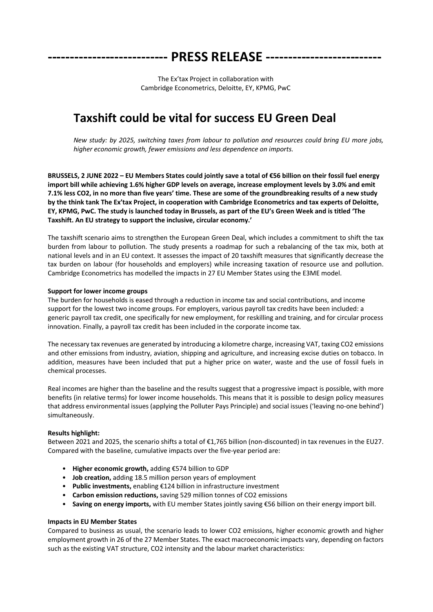**--------------------------- PRESS RELEASE --------------------------**

The Ex'tax Project in collaboration with Cambridge Econometrics, Deloitte, EY, KPMG, PwC

## **Taxshift could be vital for success EU Green Deal**

*New study: by 2025, switching taxes from labour to pollution and resources could bring EU more jobs, higher economic growth, fewer emissions and less dependence on imports.*

**BRUSSELS, 2 JUNE 2022 – EU Members States could jointly save a total of €56 billion on their fossil fuel energy import bill while achieving 1.6% higher GDP levels on average, increase employment levels by 3.0% and emit 7.1% less CO2, in no more than five years' time. These are some of the groundbreaking results of a new study by the think tank The Ex'tax Project, in cooperation with Cambridge Econometrics and tax experts of Deloitte, EY, KPMG, PwC. The study is launched today in Brussels, as part of the EU's Green Week and is titled 'The Taxshift. An EU strategy to support the inclusive, circular economy.'**

The taxshift scenario aims to strengthen the European Green Deal, which includes a commitment to shift the tax burden from labour to pollution. The study presents a roadmap for such a rebalancing of the tax mix, both at national levels and in an EU context. It assesses the impact of 20 taxshift measures that significantly decrease the tax burden on labour (for households and employers) while increasing taxation of resource use and pollution. Cambridge Econometrics has modelled the impacts in 27 EU Member States using the E3ME model.

## **Support for lower income groups**

The burden for households is eased through a reduction in income tax and social contributions, and income support for the lowest two income groups. For employers, various payroll tax credits have been included: a generic payroll tax credit, one specifically for new employment, for reskilling and training, and for circular process innovation. Finally, a payroll tax credit has been included in the corporate income tax.

The necessary tax revenues are generated by introducing a kilometre charge, increasing VAT, taxing CO2 emissions and other emissions from industry, aviation, shipping and agriculture, and increasing excise duties on tobacco. In addition, measures have been included that put a higher price on water, waste and the use of fossil fuels in chemical processes.

Real incomes are higher than the baseline and the results suggest that a progressive impact is possible, with more benefits (in relative terms) for lower income households. This means that it is possible to design policy measures that address environmental issues (applying the Polluter Pays Principle) and social issues ('leaving no-one behind') simultaneously.

## **Results highlight:**

Between 2021 and 2025, the scenario shifts a total of €1,765 billion (non-discounted) in tax revenues in the EU27. Compared with the baseline, cumulative impacts over the five-year period are:

- **Higher economic growth,** adding €574 billion to GDP
- **Job creation,** adding 18.5 million person years of employment
- **Public investments,** enabling €124 billion in infrastructure investment
- **Carbon emission reductions,** saving 529 million tonnes of CO2 emissions
- **Saving on energy imports,** with EU member States jointly saving €56 billion on their energy import bill.

## **Impacts in EU Member States**

Compared to business as usual, the scenario leads to lower CO2 emissions, higher economic growth and higher employment growth in 26 of the 27 Member States. The exact macroeconomic impacts vary, depending on factors such as the existing VAT structure, CO2 intensity and the labour market characteristics: